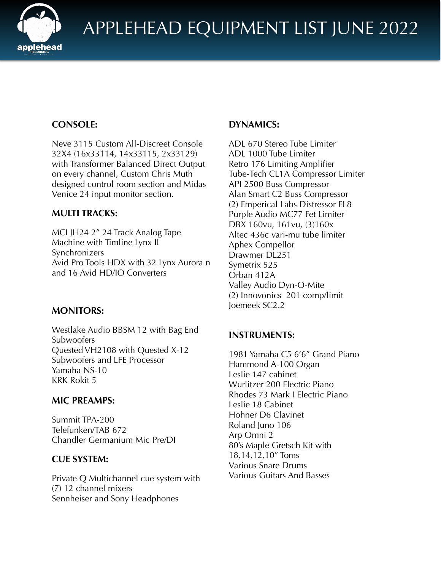

# **CONSOLE:**

Neve 3115 Custom All-Discreet Console 32X4 (16x33114, 14x33115, 2x33129) with Transformer Balanced Direct Output on every channel, Custom Chris Muth designed control room section and Midas Venice 24 input monitor section.

## **MULTI TRACKS:**

MCI JH24 2" 24 Track Analog Tape Machine with Timline Lynx II Synchronizers Avid Pro Tools HDX with 32 Lynx Aurora n and 16 Avid HD/IO Converters

## **MONITORS:**

Westlake Audio BBSM 12 with Bag End **Subwoofers** Quested VH2108 with Quested X-12 Subwoofers and LFE Processor Yamaha NS-10 KRK Rokit 5

### **MIC PREAMPS:**

Summit TPA-200 Telefunken/TAB 672 Chandler Germanium Mic Pre/DI

### **CUE SYSTEM:**

Private Q Multichannel cue system with (7) 12 channel mixers Sennheiser and Sony Headphones

### **DYNAMICS:**

ADL 670 Stereo Tube Limiter ADL 1000 Tube Limiter Retro 176 Limiting Amplifier Tube-Tech CL1A Compressor Limiter API 2500 Buss Compressor Alan Smart C2 Buss Compressor (2) Emperical Labs Distressor EL8 Purple Audio MC77 Fet Limiter DBX 160vu, 161vu, (3)160x Altec 436c vari-mu tube limiter Aphex Compellor Drawmer DL251 Symetrix 525 Orban 412A Valley Audio Dyn-O-Mite (2) Innovonics 201 comp/limit Joemeek SC2.2

## **INSTRUMENTS:**

1981 Yamaha C5 6'6" Grand Piano Hammond A-100 Organ Leslie 147 cabinet Wurlitzer 200 Electric Piano Rhodes 73 Mark I Electric Piano Leslie 18 Cabinet Hohner D6 Clavinet Roland Juno 106 Arp Omni 2 80's Maple Gretsch Kit with 18,14,12,10" Toms Various Snare Drums Various Guitars And Basses